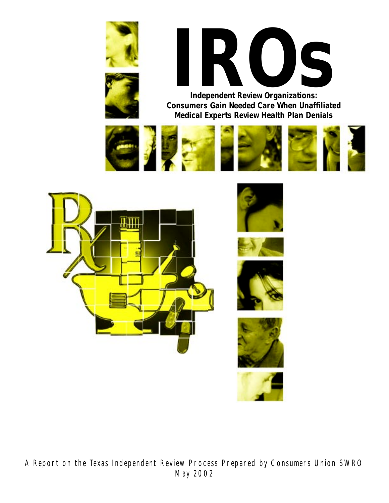



**Independent Review Organizations: Consumers Gain Needed Care When Unaffiliated Medical Experts Review Health Plan Denials**





A Report on the Texas Independent Review Process Prepared by Consumers Union SWRO May 2002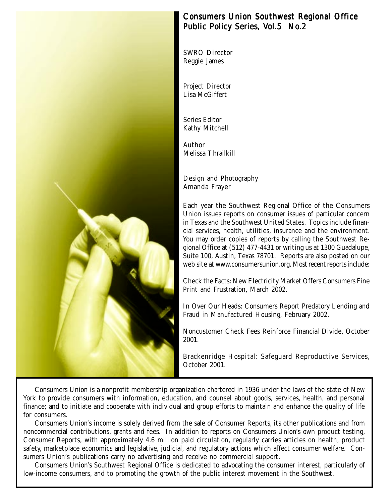

# Consumers Union Southwest Regional Office Public Policy Series, Vol.5 No.2

SWRO Director Reggie James

Project Director Lisa McGiffert

Series Editor Kathy Mitchell

Author Melissa Thrailkill

Design and Photography Amanda Frayer

Each year the Southwest Regional Office of the Consumers Union issues reports on consumer issues of particular concern in Texas and the Southwest United States. Topics include financial services, health, utilities, insurance and the environment. You may order copies of reports by calling the Southwest Regional Office at (512) 477-4431 or writing us at 1300 Guadalupe, Suite 100, Austin, Texas 78701. Reports are also posted on our web site at www.consumersunion.org. Most recent reports include:

Check the Facts: New Electricity Market Offers Consumers Fine Print and Frustration, March 2002.

In Over Our Heads: Consumers Report Predatory Lending and Fraud in Manufactured Housing, February 2002.

Noncustomer Check Fees Reinforce Financial Divide, October 2001.

Brackenridge Hospital: Safeguard Reproductive Services, October 2001.

Consumers Union is a nonprofit membership organization chartered in 1936 under the laws of the state of New York to provide consumers with information, education, and counsel about goods, services, health, and personal finance; and to initiate and cooperate with individual and group efforts to maintain and enhance the quality of life for consumers.

Consumers Union's income is solely derived from the sale of Consumer Reports, its other publications and from noncommercial contributions, grants and fees. In addition to reports on Consumers Union's own product testing, Consumer Reports, with approximately 4.6 million paid circulation, regularly carries articles on health, product safety, marketplace economics and legislative, judicial, and regulatory actions which affect consumer welfare. Consumers Union's publications carry no advertising and receive no commercial support.

Consumers Union's Southwest Regional Office is dedicated to advocating the consumer interest, particularly of low-income consumers, and to promoting the growth of the public interest movement in the Southwest.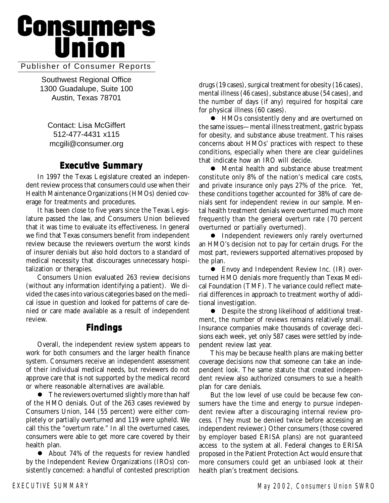# **Consumers<br>Union**

# Publisher of Consumer Reports

Southwest Regional Office 1300 Guadalupe, Suite 100 Austin, Texas 78701

Contact: Lisa McGiffert 512-477-4431 x115 mcgili@consumer.org

# **Executive Summary Executive Summary**

In 1997 the Texas Legislature created an independent review process that consumers could use when their Health Maintenance Organizations (HMOs) denied coverage for treatments and procedures.

It has been close to five years since the Texas Legislature passed the law, and Consumers Union believed that it was time to evaluate its effectiveness. In general we find that Texas consumers benefit from independent review because the reviewers overturn the worst kinds of insurer denials but also hold doctors to a standard of medical necessity that discourages unnecessary hospitalization or therapies.

Consumers Union evaluated 263 review decisions (without any information identifying a patient). We divided the cases into various categories based on the medical issue in question and looked for patterns of care denied or care made available as a result of independent review.

# **Findings**

Overall, the independent review system appears to work for both consumers and the larger health finance system. Consumers receive an independent assessment of their individual medical needs, but reviewers do not approve care that is not supported by the medical record or where reasonable alternatives are available.

• The reviewers overturned slightly more than half of the HMO denials. Out of the 263 cases reviewed by Consumers Union, 144 (55 percent) were either completely or partially overturned and 119 were upheld. We call this the "overturn rate." In all the overturned cases, consumers were able to get more care covered by their health plan.

• About 74% of the requests for review handled by the Independent Review Organizations (IROs) consistently concerned: a handful of contested prescription drugs (19 cases), surgical treatment for obesity (16 cases), mental illness (46 cases), substance abuse (54 cases), and the number of days (if any) required for hospital care for physical illness (60 cases).

! HMOs consistently deny and are overturned on the same issues—mental illness treatment, gastric bypass for obesity, and substance abuse treatment. This raises concerns about HMOs' practices with respect to these conditions, especially when there are clear guidelines that indicate how an IRO will decide.

! Mental health and substance abuse treatment constitute only 8% of the nation's medical care costs, and private insurance only pays 27% of the price. Yet, these conditions together accounted for 38% of care denials sent for independent review in our sample. Mental health treatment denials were overturned much more frequently than the general overturn rate (70 percent overturned or partially overturned).

 $\bullet$  Independent reviewers only rarely overturned an HMO's decision not to pay for certain drugs. For the most part, reviewers supported alternatives proposed by the plan.

• Envoy and Independent Review Inc. (IR) overturned HMO denials more frequently than Texas Medical Foundation (TMF). The variance could reflect material differences in approach to treatment worthy of additional investigation.

 $\bullet$  Despite the strong likelihood of additional treatment, the number of reviews remains relatively small. Insurance companies make thousands of coverage decisions each week, yet only 587 cases were settled by independent review last year.

This may be because health plans are making better coverage decisions now that someone can take an independent look. The same statute that created independent review also authorized consumers to sue a health plan for care denials.

But the low level of use could be because few consumers have the time and energy to pursue independent review after a discouraging internal review process. (They must be denied twice before accessing an independent reviewer.) Other consumers (those covered by employer based ERISA plans) are not guaranteed access to the system at all. Federal changes to ERISA proposed in the Patient Protection Act would ensure that more consumers could get an unbiased look at their health plan's treatment decisions.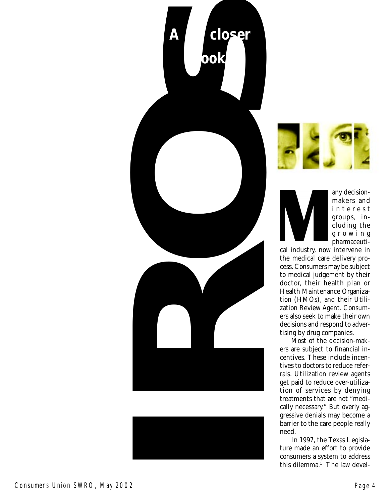





makers and interest groups, including the growing pharmaceuti-

cal industry, now intervene in the medical care delivery process. Consumers may be subject to medical judgement by their doctor, their health plan or Health Maintenance Organization (HMOs), and their Utilization Review Agent. Consumers also seek to make their own decisions and respond to advertising by drug companies.

Most of the decision-makers are subject to financial incentives. These include incentives to doctors to reduce referrals. Utilization review agents get paid to reduce over-utilization of services by denying treatments that are not "medically necessary." But overly aggressive denials may become a barrier to the care people really need.

In 1997, the Texas Legislature made an effort to provide consumers a system to address this dilemma.<sup>1</sup> The law devel-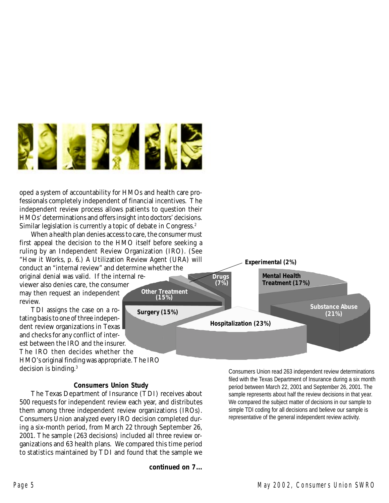

oped a system of accountability for HMOs and health care professionals completely independent of financial incentives. The independent review process allows patients to question their HMOs' determinations and offers insight into doctors' decisions. Similar legislation is currently a topic of debate in Congress.<sup>2</sup>

When a health plan denies access to care, the consumer must first appeal the decision to the HMO itself before seeking a ruling by an Independent Review Organization (IRO). (See "How it Works, p. 6.) A Utilization Review Agent (URA) will conduct an "internal review" and determine whether the

original denial was valid. If the internal reviewer also denies care, the consumer may then request an independent review.

TDI assigns the case on a rotating basis to one of three independent review organizations in Texas and checks for any conflict of interest between the IRO and the insurer. The IRO then decides whether the HMO's original finding was appropriate. The IRO decision is binding.3

## **Consumers Union Study**

The Texas Department of Insurance (TDI) receives about 500 requests for independent review each year, and distributes them among three independent review organizations (IROs). Consumers Union analyzed every IRO decision completed during a six-month period, from March 22 through September 26, 2001. The sample (263 decisions) included all three review organizations and 63 health plans. We compared this time period to statistics maintained by TDI and found that the sample we

**continued on 7...**



Consumers Union read 263 independent review determinations filed with the Texas Department of Insurance during a six month period between March 22, 2001 and September 26, 2001. The sample represents about half the review decisions in that year. We compared the subject matter of decisions in our sample to simple TDI coding for all decisions and believe our sample is representative of the general independent review activity.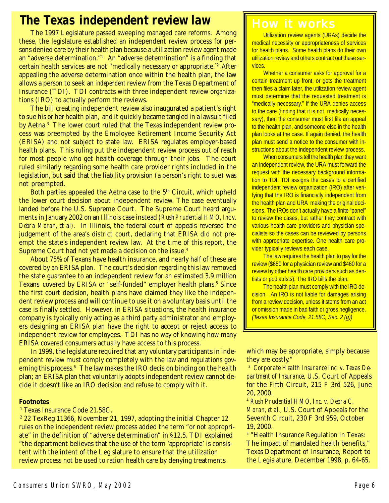# **The Texas independent review law**

The 1997 Legislature passed sweeping managed care reforms. Among these, the legislature established an independent review process for persons denied care by their health plan because a utilization review agent made an "adverse determination."1 An "adverse determination" is a finding that certain health services are not "medically necessary or appropriate."2 After appealing the adverse determination once within the health plan, the law allows a person to seek an *independent* review from the Texas Department of Insurance (TDI). TDI contracts with three independent review organizations (IRO) to actually perform the reviews.

The bill creating independent review also inaugurated a patient's right to sue his or her health plan, and it quickly became tangled in a lawsuit filed by Aetna.3 The lower court ruled that the Texas independent review process was preempted by the Employee Retirement Income Security Act (ERISA) and not subject to state law. ERISA regulates employer-based health plans. This ruling put the independent review process out of reach for most people who get health coverage through their jobs. The court ruled similarly regarding some health care provider rights included in the legislation, but said that the liability provision (a person's right to sue) was not preempted.

Both parties appealed the Aetna case to the  $5<sup>th</sup>$  Circuit, which upheld the lower court decision about independent review. The case eventually landed before the U.S. Supreme Court. The Supreme Court heard arguments in January 2002 on an Illinois case instead (*Rush Prudential HMO, Inc v. Debra Moran, et al)*. In Illinois, the federal court of appeals reversed the judgement of the area's district court, declaring that ERISA did not preempt the state's independent review law. At the time of this report, the Supreme Court had not yet made a decision on the issue.<sup>4</sup>

About 75% of Texans have health insurance, and nearly half of these are covered by an ERISA plan. The court's decision regarding this law removed the state guarantee to an independent review for an estimated 3.9 million Texans covered by ERISA or "self-funded" employer health plans.<sup>5</sup> Since the first court decision, health plans have claimed they like the independent review process and will continue to use it on a voluntary basis until the case is finally settled. However, in ERISA situations, the health insurance company is typically only acting as a third party administrator and employers designing an ERISA plan have the right to accept or reject access to independent review for employees. TDI has no way of knowing how many ERISA covered consumers actually have access to this process.

In 1999, the legislature required that any voluntary participants in independent review must comply completely with the law and regulations governing this process. $6$  The law makes the IRO decision binding on the health plan; an ERISA plan that voluntarily adopts independent review cannot decide it doesn't like an IRO decision and refuse to comply with it.

### **Footnotes**

1 Texas Insurance Code 21.58C.

 $^2$  22 TexReg 11366, November 21, 1997, adopting the initial Chapter 12  $\,$ rules on the independent review process added the term "or not appropriate" in the definition of "adverse determination" in §12.5. TDI explained "the department believes that the use of the term 'appropriate' is consistent with the intent of the Legislature to ensure that the utilization review process not be used to ration health care by denying treatments

# How it works

Utilization review agents (URAs) decide the medical necessity or appropriateness of services for health plans. Some health plans do their own utilization review and others contract out these services.

Whether a consumer asks for approval for a certain treatment up front, or gets the treatment then files a claim later, the utilization review agent must determine that the requested treatment is "medically necessary." If the URA denies access to the care (finding that it is not medically necessary), then the consumer must first file an appeal to the health plan, and someone else in the health plan looks at the case. If again denied, the health plan must send a notice to the consumer with instructions about the independent review process.

When consumers tell the health plan they want an independent review, the URA must forward the request with the necessary background information to TDI. TDI assigns the cases to a certified independent review organization (IRO) after verifying that the IRO is financially independent from the health plan and URA making the original decisions. The IROs don't actually have a finite "panel" to review the cases, but rather they contract with various health care providers and physician specialists so the cases can be reviewed by persons with appropriate expertise. One health care provider typically reviews each case.

The law requires the health plan to pay for the review (\$650 for a physician review and \$460 for a review by other health care providers such as dentists or podiatrists). The IRO bills the plan.

The health plan must comply with the IRO decision. An IRO is not liable for damages arising from a review decision, unless it stems from an act or omission made in bad faith or gross negligence. *(Texas Insurance Code, 21.58C, Sec. 2 (g))*

which may be appropriate, simply because they are costly."

<sup>3</sup> *Corporate Health Insurance Inc. v. Texas Department of Insurance*, U.S. Court of Appeals for the Fifth Circuit, 215 F 3rd 526, June 20, 2000.

<sup>4</sup> *Rush Prudential HMO, Inc. v. Debra C. Moran, et al.*, U.S. Court of Appeals for the Seventh Circuit, 230 F 3rd 959, October 19, 2000.

5 "Health Insurance Regulation in Texas: The impact of mandated health benefits," Texas Department of Insurance, Report to the Legislature, December 1998, p. 64-65.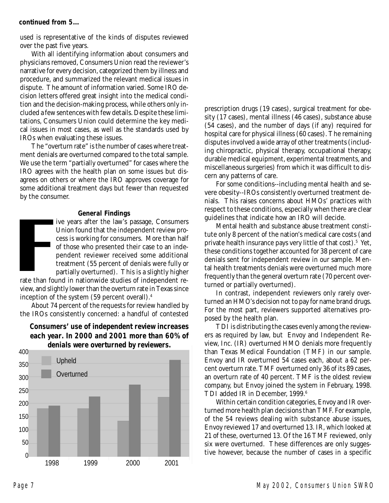## **continued from 5...**

used is representative of the kinds of disputes reviewed over the past five years.

With all identifying information about consumers and physicians removed, Consumers Union read the reviewer's narrative for every decision, categorized them by illness and procedure, and summarized the relevant medical issues in dispute. The amount of information varied. Some IRO decision letters offered great insight into the medical condition and the decision-making process, while others only included a few sentences with few details. Despite these limitations, Consumers Union could determine the key medical issues in most cases, as well as the standards used by IROs when evaluating these issues.

The "overturn rate" is the number of cases where treatment denials are overturned compared to the total sample. We use the term "partially overturned" for cases where the IRO agrees with the health plan on some issues but disagrees on others or where the IRO approves coverage for some additional treatment days but fewer than requested by the consumer.

## **General Findings**

ive years after the law's passage, Consumers Union found that the independent review process is working for consumers. More than half of those who presented their case to an independent reviewer received some additional treatment (55 percent of denials were fully or partially overturned). This is a slightly higher

rate than found in nationwide studies of independent review, and slightly lower than the overturn rate in Texas since inception of the system (59 percent overall).4

About 74 percent of the requests for review handled by the IROs consistently concerned: a handful of contested

# **Consumers' use of independent review increases each year. In 2000 and 2001 more than 60% of denials were overturned by reviewers.**



prescription drugs (19 cases), surgical treatment for obesity (17 cases), mental illness (46 cases), substance abuse (54 cases), and the number of days (if any) required for hospital care for physical illness (60 cases). The remaining disputes involved a wide array of other treatments (including chiropractic, physical therapy, occupational therapy, durable medical equipment, experimental treatments, and miscellaneous surgeries) from which it was difficult to discern any patterns of care.

For some conditions--including mental health and severe obesity--IROs consistently overturned treatment denials. This raises concerns about HMOs' practices with respect to these conditions, especially when there are clear guidelines that indicate how an IRO will decide.

Mental health and substance abuse treatment constitute only 8 percent of the nation's medical care costs (and private health insurance pays very little of that cost).<sup>5</sup> Yet, these conditions together accounted for 38 percent of care denials sent for independent review in our sample. Mental health treatments denials were overturned much more frequently than the general overturn rate (70 percent overturned or partially overturned).

In contrast, independent reviewers only rarely overturned an HMO's decision not to pay for name brand drugs. For the most part, reviewers supported alternatives proposed by the health plan.

TDI is distributing the cases evenly among the reviewers as required by law, but Envoy and Independent Review, Inc. (IR) overturned HMO denials more frequently than Texas Medical Foundation (TMF) in our sample. Envoy and IR overturned 54 cases each, about a 62 percent overturn rate. TMF overturned only 36 of its 89 cases, an overturn rate of 40 percent. TMF is the oldest review company, but Envoy joined the system in February, 1998. TDI added IR in December, 1999.<sup>6</sup>

Within certain condition categories, Envoy and IR overturned more health plan decisions than TMF. For example, of the 54 reviews dealing with substance abuse issues, Envoy reviewed 17 and overturned 13. IR, which looked at 21 of these, overturned 13. Of the 16 TMF reviewed, only six were overturned. These differences are only suggestive however, because the number of cases in a specific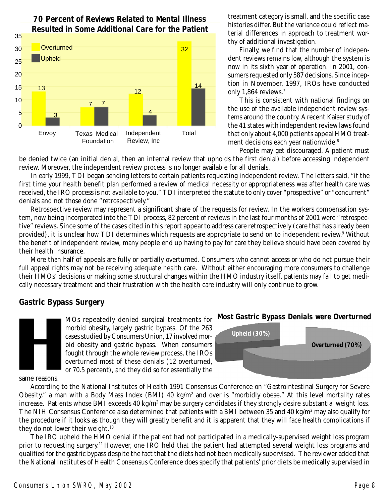

**70 Percent of Reviews Related to Mental Illness Resulted in Some Additional Care for the Patient** treatment category is small, and the specific case histories differ. But the variance could reflect material differences in approach to treatment worthy of additional investigation.

Finally, we find that the number of independent reviews remains low, although the system is now in its sixth year of operation. In 2001, consumers requested only 587 decisions. Since inception in November, 1997, IROs have conducted only 1,864 reviews.<sup>7</sup>

This is consistent with national findings on the use of the available independent review systems around the country. A recent Kaiser study of the 41 states with independent review laws found that only about 4,000 patients appeal HMO treatment decisions each year nationwide.<sup>8</sup>

People may get discouraged. A patient must

be denied twice (an initial denial, then an internal review that upholds the first denial) before accessing independent review. Moreover, the independent review process is no longer available for all denials.

In early 1999, TDI began sending letters to certain patients requesting independent review. The letters said, "if the first time your health benefit plan performed a review of medical necessity or appropriateness was after health care was received, the IRO process is not available to you." TDI interpreted the statute to only cover "prospective" or "concurrent" denials and not those done "retrospectively."

Retrospective review may represent a significant share of the requests for review. In the workers compensation system, now being incorporated into the TDI process, 82 percent of reviews in the last four months of 2001 were "retrospective" reviews. Since some of the cases cited in this report appear to address care retrospectively (care that has already been provided), it is unclear how TDI determines which requests are appropriate to send on to independent review.<sup>9</sup> Without the benefit of independent review, many people end up having to pay for care they believe should have been covered by their health insurance.

More than half of appeals are fully or partially overturned. Consumers who cannot access or who do not pursue their full appeal rights may not be receiving adequate health care. Without either encouraging more consumers to challenge their HMOs' decisions or making some structural changes within the HMO industry itself, patients may fail to get medically necessary treatment and their frustration with the health care industry will only continue to grow.

# **Gastric Bypass Surgery**

MOs repeatedly denied surgical treatments for morbid obesity, largely gastric bypass. Of the 263 cases studied by Consumers Union, 17 involved morbid obesity and gastric bypass. When consumers fought through the whole review process, the IROs overturned most of these denials (12 overturned, or 70.5 percent), and they did so for essentially the

**Most Gastric Bypass Denials were Overturned**



same reasons.

According to the National Institutes of Health 1991 Consensus Conference on "Gastrointestinal Surgery for Severe Obesity," a man with a Body Mass Index (BMI) 40 kg/m<sup>2</sup> and over is "morbidly obese." At this level mortality rates increase. Patients whose BMI exceeds  $40 \text{ kg/m}^2$  may be surgery candidates if they strongly desire substantial weight loss. The NIH Consensus Conference also determined that patients with a BMI between 35 and 40 kg/m² may also qualify for the procedure if it looks as though they will greatly benefit and it is apparent that they will face health complications if they do not lower their weight.<sup>10</sup>

The IRO upheld the HMO denial if the patient had not participated in a medically-supervised weight loss program prior to requesting surgery.11 However, one IRO held that the patient had attempted several weight loss programs and qualified for the gastric bypass despite the fact that the diets had not been medically supervised. The reviewer added that the National Institutes of Health Consensus Conference does specify that patients' prior diets be medically supervised in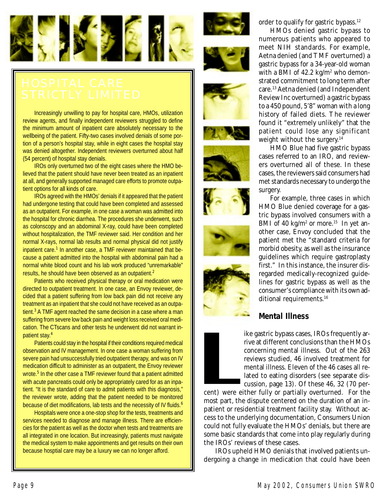

Increasingly unwilling to pay for hospital care, HMOs, utilization review agents, and finally independent reviewers struggled to define the minimum amount of inpatient care absolutely necessary to the wellbeing of the patient. Fifty-two cases involved denials of some portion of a person's hospital stay, while in eight cases the hospital stay was denied altogether. Independent reviewers overturned about half (54 percent) of hospital stay denials.

IROs only overturned two of the eight cases where the HMO believed that the patient should have never been treated as an inpatient at all, and generally supported managed care efforts to promote outpatient options for all kinds of care.

IROs agreed with the HMOs' denials if it appeared that the patient had undergone testing that could have been completed and assessed as an outpatient. For example, in one case a woman was admitted into the hospital for chronic diarrhea. The procedures she underwent, such as colonscopy and an abdominal X-ray, could have been completed without hospitalization, the TMF reviewer said. Her condition and her normal X-rays, normal lab results and normal physical did not justify inpatient care.<sup>1</sup> In another case, a TMF reviewer maintained that because a patient admitted into the hospital with abdominal pain had a normal white blood count and his lab work produced "unremarkable" results, he should have been observed as an outpatient.<sup>2</sup>

Patients who received physical therapy or oral medication were directed to outpatient treatment. In one case, an Envoy reviewer, decided that a patient suffering from low back pain did not receive any treatment as an inpatient that she could not have received as an outpatient.<sup>3</sup> A TMF agent reached the same decision in a case where a man suffering from severe low back pain and weight loss received oral medication. The CTscans and other tests he underwent did not warrant inpatient stay.<sup>4</sup>

Patients could stay in the hospital if their conditions required medical observation and IV management. In one case a woman suffering from severe pain had unsuccessfully tried outpatient therapy, and was on IV medication difficult to administer as an outpatient, the Envoy reviewer wrote.<sup>5</sup> In the other case a TMF reviewer found that a patient admitted with acute pancreatis could only be appropriately cared for as an inpatient. "It is the standard of care to admit patients with this diagnosis," the reviewer wrote, adding that the patient needed to be monitored because of diet modifications, lab tests and the necessity of IV fluids.<sup>6</sup>

Hospitals were once a one-stop shop for the tests, treatments and services needed to diagnose and manage illness. There are efficiencies for the patient as well as the doctor when tests and treatments are all integrated in one location. But increasingly, patients must navigate the medical system to make appointments and get results on their own because hosptial care may be a luxury we can no longer afford.



















HMOs denied gastric bypass to numerous patients who appeared to meet NIH standards. For example, Aetna denied (and TMF overturned) a gastric bypass for a 34-year-old woman with a BMI of 42.2 kg/m<sup>2</sup> who demonstrated commitment to long term after care.13 Aetna denied (and Independent Review Inc overturned) a gastric bypass to a 450 pound, 5'8" woman with a long history of failed diets. The reviewer found it "extremely unlikely" that the patient could lose any significant weight without the surgery.14

HMO Blue had five gastric bypass cases referred to an IRO, and reviewers overturned all of these. In these cases, the reviewers said consumers had met standards necessary to undergo the surgery.

For example, three cases in which HMO Blue denied coverage for a gastric bypass involved consumers with a BMI of 40 kg/m<sup>2</sup> or more.<sup>15</sup> In yet another case, Envoy concluded that the patient met the "standard criteria for morbid obesity, as well as the insurance guidelines which require gastroplasty first." In this instance, the insurer disregarded medically-recognized guidelines for gastric bypass as well as the consumer's compliance with its own additional requirements.<sup>16</sup>

# **Mental Illness**

ike gastric bypass cases, IROs frequently arrive at different conclusions than the HMOs concerning mental illness. Out of the 263 reviews studied, 46 involved treatment for mental illness. Eleven of the 46 cases all related to eating disorders (see separate discussion, page 13). Of these 46, 32 (70 per-

cent) were either fully or partially overturned. For the most part, the dispute centered on the duration of an inpatient or residential treatment facility stay. Without access to the underlying documentation, Consumers Union could not fully evaluate the HMOs' denials, but there are some basic standards that come into play regularly during the IROs' reviews of these cases.

IROs upheld HMO denials that involved patients undergoing a change in medication that could have been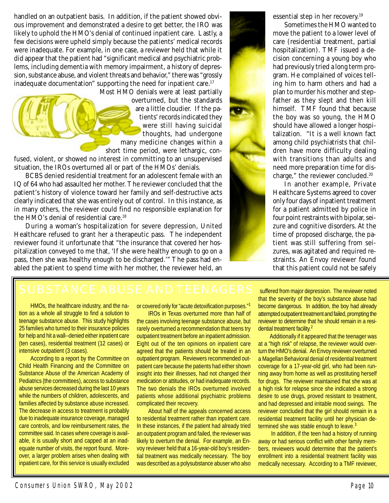handled on an outpatient basis. In addition, if the patient showed obvious improvement and demonstrated a desire to get better, the IRO was likely to uphold the HMO's denial of continued inpatient care. Lastly, a few decisions were upheld simply because the patients' medical records were inadequate. For example, in one case, a reviewer held that while it did appear that the patient had "significant medical and psychiatric problems, including dementia with memory impairment, a history of depression, substance abuse, and violent threats and behavior," there was "grossly inadequate documentation" supporting the need for inpatient care.<sup>17</sup>

Most HMO denials were at least partially overturned, but the standards are a little cloudier. If the patients' records indicated they were still having suicidal thoughts, had undergone many medicine changes within a short time period, were lethargic, confused, violent, or showed no interest in committing to an unsupervised

situation, the IROs overturned all or part of the HMOs' denials. BCBS denied residential treatment for an adolescent female with an IQ of 64 who had assaulted her mother. The reviewer concluded that the patient's history of violence toward her family and self-destructive acts clearly indicated that she was entirely out of control. In this instance, as in many others, the reviewer could find no responsible explanation for the HMO's denial of residential care.18

During a woman's hospitalization for severe depression, United Healthcare refused to grant her a therapeutic pass. The independent reviewer found it unfortunate that "the insurance that covered her hospitalization conveyed to me that, 'If she were healthy enough to go on a pass, then she was healthy enough to be discharged.'" The pass had enabled the patient to spend time with her mother, the reviewer held, an

essential step in her recovery.19

Sometimes the HMO wanted to move the patient to a lower level of care (residential treatment, partial hospitalization). TMF issued a decision concerning a young boy who had previously tried a long term program. He complained of voices telling him to harm others and had a plan to murder his mother and stepfather as they slept and then kill himself. TMF found that because the boy was so young, the HMO should have allowed a longer hospitalization. "It is a well known fact among child psychiatrists that children have more difficulty dealing with transitions than adults and need more preparation time for discharge," the reviewer concluded.20

In another example, Private Healthcare Systems agreed to cover only four days of inpatient treatment for a patient admitted by police in four point restraints with bipolar, seizure and cognitive disorders. At the time of proposed discharge, the patient was still suffering from seizures, was agitated and required restraints. An Envoy reviewer found that this patient could not be safely

HMOs, the healthcare industry, and the nation as a whole all struggle to find a solution to teenage substance abuse. This study highlights 25 families who turned to their insurance policies for help and hit a wall--denied either inpatient care (ten cases), residential treatment (12 cases) or intensive outpatient (3 cases).

According to a report by the Committee on Child Health Financing and the Committee on Substance Abuse of the American Academy of Pediatrics (the committees), access to substance abuse services decreased during the last 10 years while the numbers of children, adolescents, and families affected by substance abuse increased. The decrease in access to treatment is probably due to inadequate insurance coverage, managed care controls, and low reimbursement rates, the committee said. In cases where coverage is available, it is usually short and capped at an inadequate number of visits, the report found. Moreover, a larger problem arises when dealing with inpatient care, for this service is usually excluded or covered only for "acute detoxification purposes."<sup>1</sup>

IROs in Texas overturned more than half of the cases involving teenage substance abuse, but rarely overturned a recommendation that teens try outpatient treatment before an inpatient admission. Eight out of the ten opinions on inpatient care agreed that the patients should be treated in an outpatient program. Reviewers recommended outpatient care because the patients had either shown insight into their illnesses, had not changed their medication or attitudes, or had inadequate records. The two denials the IROs overturned involved patients whose additional psychiatric problems complicated their recovery.

About half of the appeals concerned access to residential treatment rather than inpatient care. In these instances, if the patient had already tried an outpatient program and failed, the reviewer was likely to overturn the denial. For example, an Envoy reviewer held that a 16-year-old boy's residential treatment was medically necessary. The boy was described as a polysubstance abuser who also

suffered from major depression. The reviewer noted that the severity of the boy's substance abuse had become dangerous. In addition, the boy had already attempted outpatient treatment and failed, prompting the reviewer to determine that he should remain in a residential treatment facility.<sup>2</sup>

Additionally if it appeared that the teenager was at a "high risk" of relapse, the reviewer would overturn the HMO's denial. An Envoy reviewer overturned a Magellan Behavioral denial of residential treatment coverage for a 17-year-old girl, who had been running away from home as well as prostituting herself for drugs. The reviewer maintained that she was at a high risk for relapse since she indicated a strong desire to use drugs, proved resistant to treatment, and had depressed and irritable mood swings. The reviewer concluded that the girl should remain in a residential treatment facility until her physician determined she was stable enough to leave.<sup>3</sup>

 In addition, if the teen had a history of running away or had serious conflict with other family members, reviewers would determine that the patient's enrollment into a residential treatment facility was medically necessary. According to a TMF reviewer,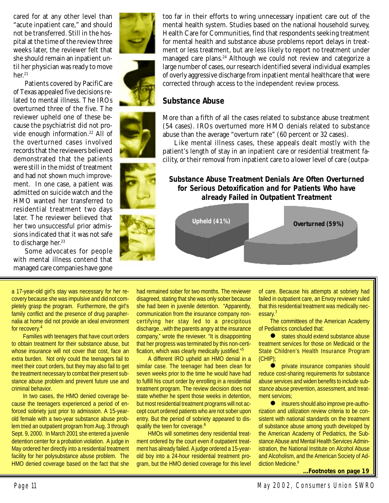cared for at any other level than "acute inpatient care," and should not be transferred. Still in the hospital at the time of the review three weeks later, the reviewer felt that she should remain an inpatient until her physician was ready to move her.<sup>21</sup>

Patients covered by PacifiCare of Texas appealed five decisions related to mental illness. The IROs overturned three of the five. The reviewer upheld one of these because the psychiatrist did not provide enough information.22 All of the overturned cases involved records that the reviewers believed demonstrated that the patients were still in the midst of treatment and had not shown much improvement. In one case, a patient was admitted on suicide watch and the HMO wanted her transferred to residential treatment two days later. The reviewer believed that her two unsuccessful prior admissions indicated that it was not safe to discharge her.<sup>23</sup>

Some advocates for people with mental illness contend that managed care companies have gone

a 17-year-old girl's stay was necessary for her recovery because she was impulsive and did not completely grasp the program. Furthermore, the girl's family conflict and the presence of drug paraphernalia at home did not provide an ideal environment for recovery.<sup>4</sup>

Families with teenagers that have court orders to obtain treatment for their substance abuse, but whose insurance will not cover that cost, face an extra burden. Not only could the teenagers fail to meet their court orders, but they may also fail to get the treatment necessary to combat their present substance abuse problem and prevent future use and criminal behavior.

In two cases, the HMO denied coverage because the teenagers experienced a period of enforced sobriety just prior to admission. A 15-yearold female with a two-year substance abuse problem tried an outpatient program from Aug. 3 through Sept. 9, 2000. In March 2001 she entered a juvenile detention center for a probation violation. A judge in May ordered her directly into a residential treatment facility for her polysubstance abuse problem. The HMO denied coverage based on the fact that she

had remained sober for two months. The reviewer disagreed, stating that she was only sober because she had been in juvenile detention. "Apparently, communication from the insurance company noncertifying her stay led to a precipitous discharge...with the parents angry at the insurance company," wrote the reviewer. "It is disappointing that her progress was terminated by this non-certification, which was clearly medically justified."<sup>5</sup>

A different IRO upheld an HMO denial in a similar case. The teenager had been clean for seven weeks prior to the time he would have had to fulfill his court order by enrolling in a residential treatment program. The review decision does not state whether he spent those weeks in detention, but most residential treatment programs will not accept court ordered patients who are not sober upon entry. But the period of sobriety appeared to disqualify the teen for coverage.<sup>6</sup>

HMOs will sometimes deny residential treatment ordered by the court even if outpatient treatment has already failed. A judge ordered a 15-yearold boy into a 24-hour residential treatment program, but the HMO denied coverage for this level

of care. Because his attempts at sobriety had failed in outpatient care, an Envoy reviewer ruled that this residential treatment was medically necessary.<sup>7</sup>

The committees of the American Academy of Pediatrics concluded that:

(CHIP);

**.** private insurance companies should reduce cost-sharing requirements for substance abuse services and widen benefits to include substance abuse prevention, assessment, and treatment services;

 $\bullet$  insurers should also improve pre-authorization and utilization review criteria to be consistent with national standards on the treatment of substance abuse among youth developed by the American Academy of Pediatrics, the Substance Abuse and Mental Health Services Administration, the National Institute on Alcohol Abuse and Alcoholism, and the American Society of Addiction Medicine.<sup>8</sup>

**Footnotes on page 19** 





More than a fifth of all the cases related to substance abuse treatment (54 cases). IROs overturned more HMO denials related to substance

Like mental illness cases, these appeals dealt mostly with the patient's length of stay in an inpatient care or residential treatment facility, or their removal from inpatient care to a lower level of care (outpa-

**Substance Abuse Treatment Denials Are Often Overturned for Serious Detoxification and for Patients Who have already Failed in Outpatient Treatment**

**Overturned (59%) Upheld (41%)**

abuse than the average "overturn rate" (60 percent or 32 cases).

# **Substance Abuse**

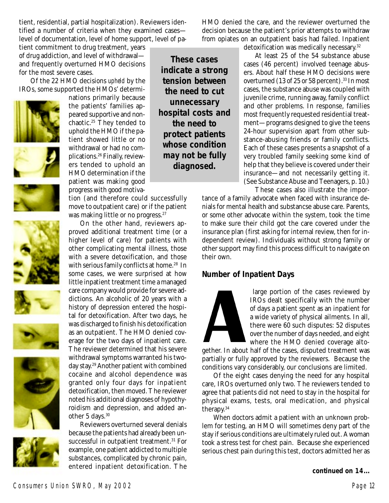tient, residential, partial hospitalization). Reviewers identified a number of criteria when they examined cases level of documentation, level of home support, level of pa-

tient commitment to drug treatment, years of drug addiction, and level of withdrawal and frequently overturned HMO decisions for the most severe cases.

Of the 22 HMO decisions *upheld* by the IROs, some supported the HMOs' determi-















the patients' families appeared supportive and nonchaotic.25 They tended to uphold the HMO if the patient showed little or no withdrawal or had no complications.26 Finally, reviewers tended to uphold an HMO determination if the patient was making good progress with good motiva-

nations primarily because

tion (and therefore could successfully move to outpatient care) or if the patient was making little or no progress.<sup>27</sup>

On the other hand, reviewers approved additional treatment time (or a higher level of care) for patients with other complicating mental illness, those with a severe detoxification, and those with serious family conflicts at home.<sup>28</sup> In some cases, we were surprised at how little inpatient treatment time a managed care company would provide for severe addictions. An alcoholic of 20 years with a history of depression entered the hospital for detoxification. After two days, he was discharged to finish his detoxification as an outpatient. The HMO denied coverage for the two days of inpatient care. The reviewer determined that his severe withdrawal symptoms warranted his twoday stay.29 Another patient with combined cocaine and alcohol dependence was granted only four days for inpatient detoxification, then moved. The reviewer noted his additional diagnoses of hypothyroidism and depression, and added another 5 days.<sup>30</sup>

Reviewers overturned several denials because the patients had already been unsuccessful in outpatient treatment.<sup>31</sup> For example, one patient addicted to multiple substances, complicated by chronic pain, entered inpatient detoxification. The **continued on 14...**

HMO denied the care, and the reviewer overturned the decision because the patient's prior attempts to withdraw from opiates on an outpatient basis had failed. Inpatient detoxification was medically necessary.<sup>32</sup>

**These cases indicate a strong tension between the need to cut unnecessary hospital costs and the need to protect patients whose condition may not be fully diagnosed.**

At least 25 of the 54 substance abuse cases (46 percent) involved teenage abusers. About half these HMO decisions were overturned  $(13$  of 25 or 58 percent).<sup>33</sup> In most cases, the substance abuse was coupled with juvenile crime, running away, family conflict and other problems. In response, families most frequently requested residential treatment—programs designed to give the teens 24-hour supervision apart from other substance-abusing friends or family conflicts. Each of these cases presents a snapshot of a very troubled family seeking some kind of help that they believe is covered under their insurance—and not necessarily getting it. (See Substance Abuse and Teenagers, p. 10.)

These cases also illustrate the importance of a family advocate when faced with insurance denials for mental health and substancse abuse care. Parents, or some other advocate within the system, took the time to make sure their child got the care covered under the insurance plan (first asking for internal review, then for independent review). Individuals without strong family or other support may find this process difficult to navigate on their own.

# **Number of Inpatient Days**



 large portion of the cases reviewed by IROs dealt specifically with the number of days a patient spent as an inpatient for a wide variety of physical ailments. In all, there were 60 such disputes: 52 disputes over the number of days needed, and eight where the HMO denied coverage alto-

gether. In about half of the cases, disputed treatment was partially or fully approved by the reviewers. Because the conditions vary considerably, our conclusions are limited.

Of the eight cases denying the need for any hospital care, IROs overturned only two. The reviewers tended to agree that patients did not need to stay in the hospital for physical exams, tests, oral medication, and physical therapy.34

When doctors admit a patient with an unknown problem for testing, an HMO will sometimes deny part of the stay if serious conditions are ultimately ruled out. A woman took a stress test for chest pain. Because she experienced serious chest pain during this test, doctors admitted her as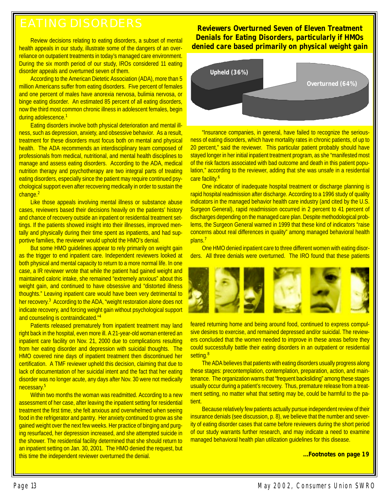Review decisions relating to eating disorders, a subset of mental health appeals in our study, illustrate some of the dangers of an overreliance on outpatient treatments in today's managed care environment. During the six month period of our study, IROs considered 11 eating disorder appeals and overturned seven of them.

According to the American Dietetic Association (ADA), more than 5 million Americans suffer from eating disorders. Five percent of females and one percent of males have anorexia nervosa, bulimia nervosa, or binge eating disorder. An estimated 85 percent of all eating disorders, now the third most common chronic illness in adolescent females, begin during adolescence.<sup>1</sup>

Eating disorders involve both physical deterioration and mental illness, such as depression, anxiety, and obsessive behavior. As a result, treatment for these disorders must focus both on mental and physical health. The ADA recommends an interdisciplinary team composed of professionals from medical, nutritional, and mental health disciplines to manage and assess eating disorders. According to the ADA, medical nutrition therapy and psychotherapy are two integral parts of treating eating disorders, especially since the patient may require continued psychological support even after recovering medically in order to sustain the change.<sup>2</sup>

Like those appeals involving mental illness or substance abuse cases, reviewers based their decisions heavily on the patients' history and chance of recovery outside an inpatient or residential treatment settings. If the patients showed insight into their illnesses, improved mentally and physically during their time spent as inpatients, and had supportive families, the reviewer would uphold the HMO's denial.

But some HMO guidelines appear to rely primarily on weight gain as the trigger to end inpatient care. Independent reviewers looked at both physical and mental capacity to return to a more normal life. In one case, a IR reviewer wrote that while the patient had gained weight and maintained caloric intake, she remained "extremely anxious" about this weight gain, and continued to have obsessive and "distorted illness thoughts." Leaving inpatient care would have been very detrimental to her recovery.<sup>3</sup> According to the ADA, "weight restoration alone does not indicate recovery, and forcing weight gain without psychological support and counseling is contraindicated."<sup>4</sup>

Patients released prematurely from inpatient treatment may land right back in the hospital, even more ill. A 21-year-old woman entered an inpatient care facility on Nov. 21, 2000 due to complications resulting from her eating disorder and depression with suicidal thoughts. The HMO covered nine days of inpatient treatment then discontinued her certification. A TMF reviewer upheld this decision, claiming that due to lack of documentation of her suicidal intent and the fact that her eating disorder was no longer acute, any days after Nov. 30 were not medically necessary.<sup>5</sup>

Within two months the woman was readmitted. According to a new assessment of her case, after leaving the inpatient setting for residential treatment the first time, she felt anxious and overwhelmed when seeing food in the refrigerator and pantry. Her anxiety continued to grow as she gained weight over the next few weeks. Her practice of binging and purging resurfaced, her depression increased, and she attempted suicide in the shower. The residential facility determined that she should return to an inpatient setting on Jan. 30, 2001. The HMO denied the request, but this time the independent reviewer overturned the denial.

**Reviewers Overturned Seven of Eleven Treatment Denials for Eating Disorders, particularly if HMOs denied care based primarily on physical weight gain**



"Insurance companies, in general, have failed to recognize the seriousness of eating disorders, which have mortality rates in chronic patients, of up to 20 percent," said the reviewer. This particular patient probably should have stayed longer in her initial inpatient treatment program, as she "manifested most of the risk factors associated with bad outcome and death in this patient population," according to the reviewer, adding that she was unsafe in a residential care facility.<sup>6</sup>

One indicator of inadequate hospital treatment or discharge planning is rapid hospital readmission after discharge. According to a 1996 study of quality indicators in the managed behavior health care industry (and cited by the U.S. Surgeon General), rapid readmission occurred in 2 percent to 41 percent of discharges depending on the managed care plan. Despite methodological problems, the Surgeon General warned in 1999 that these kind of indicators "raise concerns about real differences in quality" among managed behavioral health plans.<sup>7</sup>

One HMO denied inpatient care to three different women with eating disorders. All three denials were overturned. The IRO found that these patients



feared returning home and being around food, continued to express compulsive desires to exercise, and remained depressed and/or suicidal. The reviewers concluded that the women needed to improve in these areas before they could successfully battle their eating disorders in an outpatient or residential setting.<sup>8</sup>

The ADA believes that patients with eating disorders usually progress along these stages: precontemplation, contemplation, preparation, action, and maintenance. The organization warns that "frequent backsliding" among these stages usually occur during a patient's recovery. Thus, premature release from a treatment setting, no matter what that setting may be, could be harmful to the patient.

Because relatively few patients actually pursue independent review of their insurance denials (see discussion, p. 8), we believe that the number and severity of eating disorder cases that came before reviewers during the short period of our study warrants further research, and may indicate a need to examine managed behavioral health plan utilization guidelines for this disease.

**...Footnotes on page 19**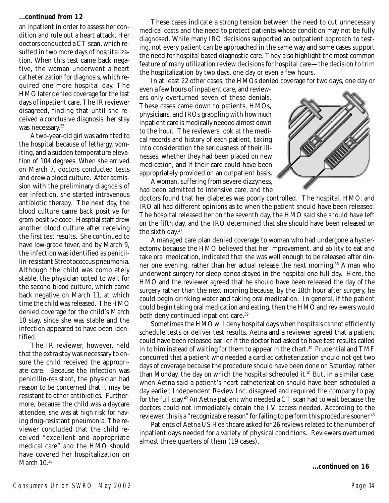### **...continued from 12**

an inpatient in order to assess her condition and rule out a heart attack. Her doctors conducted a CT scan, which resulted in two more days of hospitalization. When this test came back negative, the woman underwent a heart catheterization for diagnosis, which required one more hospital day. The HMO later denied coverage for the last days of inpatient care. The IR reviewer disagreed, finding that until she received a conclusive diagnosis, her stay was necessary.<sup>35</sup>

A two-year-old girl was admitted to the hospital because of lethargy, vomiting, and a sudden temperature elevation of 104 degrees. When she arrived on March 7, doctors conducted tests and drew a blood culture. After admission with the preliminary diagnosis of ear infection, she started intravenous antibiotic therapy. The next day, the blood culture came back positive for gram-positive cocci. Hosptial staff drew another blood culture after receiving the first test results. She continued to have low-grade fever, and by March 9, the infection was identified as penicillin-resistant Streptococcus pneumonia. Although the child was completely stable, the physician opted to wait for the second blood culture, which came back negative on March 11, at which time the child was released. The HMO denied coverage for the child's March 10 stay, since she was stable and the infection appeared to have been identified.

The IR reviewer, however, held that the extra stay was necessary to ensure the child received the appropriate care. Because the infection was penicillin-resistant, the physician had reason to be concerned that it may be resistant to other antibiotics. Furthermore, because the child was a daycare attendee, she was at high risk for having drug-resistant pneumonia. The reviewer concluded that the child received "excellent and appropriate medical care" and the HMO should have covered her hospitalization on March 10.<sup>36</sup>

These cases indicate a strong tension between the need to cut unnecessary medical costs and the need to protect patients whose condition may not be fully diagnosed. While many IRO decisions supported an outpatient approach to testing, not every patient can be approached in the same way and some cases support the need for hospital based diagnostic care. They also highlight the most common feature of many utilization review decisions for hospital care—the decision to trim the hospitalization by two days, one day or even a few hours.

In at least 22 other cases, the HMOs denied coverage for two days, one day or

even a few hours of inpatient care, and reviewers only overturned seven of these denials. These cases came down to patients, HMOs, physicians, and IROs grappling with how *much* inpatient care is medically needed almost down to the hour. The reviewers look at the medical records and history of each patient, taking into consideration the seriousness of their illnesses, whether they had been placed on new medication, and if their care could have been appropriately provided on an outpatient basis.

A woman, suffering from severe dizzyness, had been admitted to intensive care, and the

doctors found that her diabetes was poorly controlled. The hospital, HMO, and IRO all had different opinions as to when the patient should have been released. The hospital released her on the seventh day, the HMO said she should have left on the fifth day, and the IRO determined that she should have been released on the sixth day.37

A managed care plan denied coverage to woman who had undergone a hysterectomy because the HMO believed that her improvement, and ability to eat and take oral medication, indicated that she was well enough to be released after dinner one evening, rather than her actual release the next morning.38 A man who underwent surgery for sleep apnea stayed in the hospital one full day. Here, the HMO and the reviewer agreed that he should have been released the day of the surgery rather than the next morning because, by the 18th hour after surgery, he could begin drinking water and taking oral medication. In general, if the patient could begin taking oral medication and eating, then the HMO and reviewers would both deny continued inpatient care.<sup>39</sup>

Sometimes the HMO will deny hospital days when hospitals cannot efficiently schedule tests or deliver test results. Aetna and a reviewer agreed that a patient could have been released earlier if the doctor had asked to have test results called in to him instead of waiting for them to appear in the chart.<sup>40</sup> Prudential and TMF concurred that a patient who needed a cardiac catheterization should not get two days of coverage because the procedure should have been done on Saturday, rather than Monday, the day on which the hospital scheduled it.<sup>41</sup> But, in a similar case, when Aetna said a patient's heart catheterization should have been scheduled a day earlier, Independent Review Inc. disagreed and required the company to pay for the full stay.42 An Aetna patient who needed a CT scan had to wait because the doctors could not immediately obtain the I.V. access needed. According to the reviewer, this *is* a "recognizable reason" for failing to perform this procedure sooner.<sup>43</sup>

Patients of Aetna US Healthcare asked for 26 reviews related to the number of inpatient days needed for a variety of physical conditions. Reviewers overturned almost three quarters of them (19 cases).

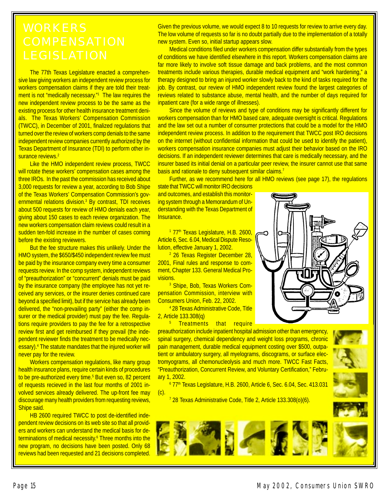The 77th Texas Legislature enacted a comprehensive law giving workers an independent review process for workers compensation claims if they are told their treatment is not "medically necessary."<sup>1</sup> The law requires the new independent review process to be the same as the existing process for other health insurance treatment denials. The Texas Workers' Compensation Commission (TWCC), in December of 2001, finalized regulations that turned over the review of workers comp denials to the same independent review companies currently authorized by the Texas Department of Insurance (TDI) to perform other insurance reviews.<sup>2</sup>

Like the HMO independent review process, TWCC will rotate these workers' compensation cases among the three IROs. In the past the commission has received about 3,000 requests for review a year, according to Bob Shipe of the Texas Workers' Compensation Commission's governmental relations division.<sup>3</sup> By contrast, TDI receives about 500 requests for review of HMO denials each year, giving about 150 cases to each review organization. The new workers compensation claim reviews could result in a sudden ten-fold increase in the number of cases coming before the existing reviewers.

But the fee structure makes this unlikely. Under the HMO system, the \$650/\$450 independent review fee must be paid by the insurance company every time a consumer requests review. In the comp system, independent reviews of "preauthorization" or "concurrent" denials must be paid by the insurance company (the employee has not yet received any services, or the insurer denies continued care beyond a specified limit), but if the service has already been delivered, the "non-prevailing party" (either the comp insurer or the medical provider) must pay the fee. Regulations require providers to pay the fee for a retrospective review first and get reimbursed if they prevail (the independent reviewer finds the treatment to be medically necessary).<sup>4</sup> The statute mandates that the injured worker will never pay for the review.

Workers compensation regulations, like many group health insurance plans, require certain kinds of procedures to be pre-authorized every time.<sup>5</sup> But even so, 82 percent of requests recieved in the last four months of 2001 involved services already delivered. The up-front fee may discourage many health providers from requesting reviews, Shipe said.

HB 2600 required TWCC to post de-identified independent review decisions on its web site so that all providers and workers can understand the medical basis for determinations of medical necessity.<sup>6</sup> Three months into the new program, no decisions have been posted. Only 68 reviews had been requested and 21 decisions completed.

Given the previous volume, we would expect 8 to 10 requests for review to arrive every day. The low volume of requests so far is no doubt partially due to the implementation of a totally new system. Even so, initial startup appears slow.

Medical conditions filed under workers compensation differ substantially from the types of conditions we have identified elsewhere in this report. Workers compensation claims are far more likely to involve soft tissue damage and back problems, and the most common treatments include various therapies, durable medical equipment and "work hardening," a therapy designed to bring an injured worker slowly back to the kind of tasks required for the job. By contrast, our review of HMO independent review found the largest categories of reviews related to substance abuse, mental health, and the number of days required for inpatient care (for a wide range of illnesses).

Since the volume of reviews and type of conditions may be significantly different for workers compensation than for HMO based care, adequate oversight is critical. Regulations and the law set out a number of consumer protections that could be a model for the HMO independent review process. In addition to the requirement that TWCC post IRO decisions on the internet (without confidential information that could be used to identify the patient), workers compensation insurance companies must adjust their behavior based on the IRO decisions. If an independent reviewer determines that care is medically necessary, and the insurer based its initial denial on a particular peer review, the insurer cannot use that same basis and rationale to deny subsequent similar claims.<sup>7</sup>

Further, as we recommend here for all HMO reviews (see page 17), the regulations

state that TWCC will monitor IRO decisions and outcomes, and establish this monitoring system through a Memorandum of Understanding with the Texas Department of Insurance.

1 77<sup>th</sup> Texas Legislature, H.B. 2600, Article 6, Sec. 6.04, Medical Dispute Resolution, effective January 1, 2002.

<sup>2</sup> 26 Texas Register December 28, 2001, Final rules and response to comment, Chapter 133. General Medical Provisions.

<sup>3</sup> Shipe, Bob, Texas Workers Compensation Commission, interview with Consumers Union, Feb. 22, 2002.

4 28 Texas Administrative Code, Title 2, Article 133.308(q)

<u>5 Treatments that require</u>

preauthorization include inpatient hospital admission other than emergency, spinal surgery, chemical dependency and weight loss programs, chronic pain management, durable medical equipment costing over \$500, outpatient or ambulatory surgery, all myelograms, discograms, or surface electromyograms, all chemonucleolysis and much more. TWCC Fast Facts, "Preauthorization, Concurrent Review, and Voluntary Certification," February 1, 2002.

<sup>6</sup> 77<sup>th</sup> Texas Legislature, H.B. 2600, Article 6, Sec. 6.04, Sec. 413.031 (c).

<sup>7</sup> 28 Texas Administrative Code, Title 2, Article 133.308(o)(6).



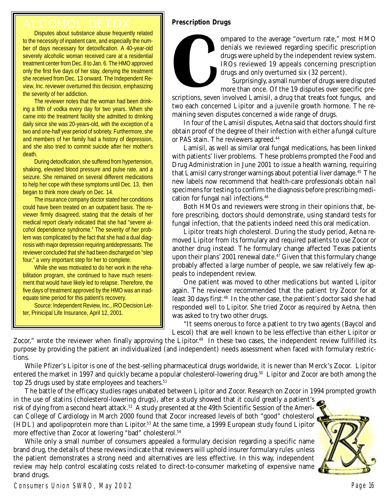# **Prescription Drugs**

Disputes about substance abuse frequently related to the necessity of inpatient care, and especially the number of days necessary for detoxification. A 40-year-old severely alcoholic woman received care at a residential treatment center from Dec. 8 to Jan. 6. The HMO approved only the first five days of her stay, denying the treatment she received from Dec. 13 onward. The Independent Review, Inc. reviewer overturned this decision, emphasizing the severity of her addiction.

The reviewer notes that the woman had been drinking a fifth of vodka every day for two years. When she came into the treatment facility she admitted to drinking daily since she was 20-years-old, with the exception of a two and one-half year period of sobriety. Furthermore, she and members of her family had a history of depression, and she also tried to commit suicide after her mother's death.

During detoxification, she suffered from hypertension, shaking, elevated blood pressure and pulse rate, and a seizure. She remained on several different medications to help her cope with these symptoms until Dec. 13, then began to think more clearly on Dec. 14.

The insurance company doctor stated her conditions could have been treated on an outpatient basis. The reviewer firmly disagreed, stating that the details of her medical report clearly indicated that she had "severe alcohol dependence syndrome." The severity of her problem was complicated by the fact that she had a dual diagnosis with major depression requiring antidepressants. The reviewer concluded that she had been discharged on "step four," a very important step for her to complete.

While she was motivated to do her work in the rehabilitation program, she continued to have much resentment that would have likely led to relapse. Therefore, the five days of treatment approved by the HMO was an inadequate time period for this patient's recovery.

Source: Independent Review, Inc., IRO Decision Letter, Prinicipal Life Insurance, April 12, 2001.

ompared to the average "overturn rate," most HMO denials we reviewed regarding specific prescription drugs were upheld by the independent review system. IROs reviewed 19 appeals concerning prescription drugs and only overturned six (32 percent).

Surprisingly, a small number of drugs were disputed more than once. Of the 19 disputes over specific pre-

scriptions, seven involved Lamisil, a drug that treats foot fungus, and two each concerned Lipitor and a juvenile growth hormone. The remaining seven disputes concerned a wide range of drugs.

In four of the Lamisil disputes, Aetna said that doctors should first obtain proof of the degree of their infection with either a fungal culture or PAS stain. The reviewers agreed.<sup>44</sup>

Lamisil, as well as similar oral fungal medications, has been linked with patients' liver problems. These problems prompted the Food and Drug Administration in June 2001 to issue a health warning, requiring that Lamisil carry stronger warnings about potential liver damage.45 The new labels now recommend that health-care professionals obtain nail specimens for testing to confirm the diagnosis before prescribing medication for fungal nail infections.46

Both HMOs and reviewers were strong in their opinions that, before prescribing, doctors should demonstrate, using standard tests for fungal infection, that the patients indeed need this oral medication.

Lipitor treats high cholesterol. During the study period, Aetna removed Lipitor from its formulary and required patients to use Zocor or another drug instead. The formulary change affected Texas patients upon their plans' 2001 renewal date.<sup>47</sup> Given that this formulary change probably affected a large number of people, we saw relatively few appeals to independent review.

One patient was moved to other medications but wanted Lipitor again. The reviewer recommended that the patient try Zocor for at least 30 days first.<sup>48</sup> In the other case, the patient's doctor said she had responded well to Lipitor. She tried Zocor as required by Aetna, then was asked to try two other drugs.

"It seems onerous to force a patient to try two agents (Baycol and Lescol) that are well known to be less effective than either Lipitor or

Zocor," wrote the reviewer when finally approving the Lipitor.<sup>49</sup> In these two cases, the independent review fullfilled its purpose by providing the patient an individualized (and independent) needs assessment when faced with formulary restrictions.

While Pfizer's Lipitor is one of the best-selling pharmaceutical drugs worldwide, it is newer than Merck's Zocor. Lipitor entered the market in 1997 and quickly became a popular cholesterol-lowering drug.50 Lipitor and Zocor are both among the top 25 drugs used by state employees and teachers.<sup>51</sup>

The battle of the efficacy studies rages unabated between Lipitor and Zocor. Research on Zocor in 1994 prompted growth in the use of statins (cholesterol-lowering drugs), after a study showed that it could greatly a patient's risk of dying from a second heart attack.<sup>52</sup> A study presented at the 49th Scientific Session of the American College of Cardiology in March 2000 found that Zocor increased levels of both "good" cholesterol (HDL) and apolipoprotein more than Lipitor.53 At the same time, a 1999 European study found Lipitor more effective than Zocor at lowering "bad" cholesterol.54

While only a small number of consumers appealed a formulary decision regarding a specific name brand drug, the details of these reviews indicate that reviewers will uphold insurer formulary rules unless the patient demonstrates a strong need and alternatives are less effective. In this way, independent review may help control escalating costs related to direct-to-consumer marketing of expensive name brand drugs.

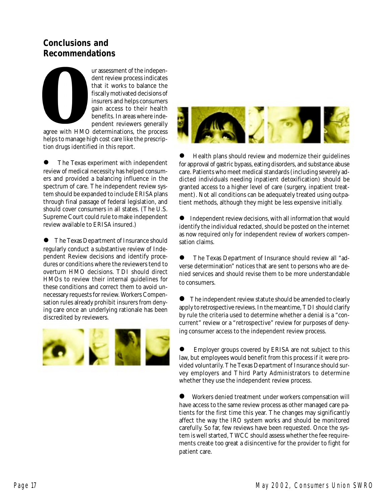# **Conclusions and Recommendations**

ur assessment of the independent review process indicates that it works to balance the fiscally motivated decisions of insurers and helps consumers gain access to their health benefits. In areas where independent reviewers generally

agree with HMO determinations, the process helps to manage high cost care like the prescription drugs identified in this report.

! The Texas experiment with independent review of medical necessity has helped consumers and provided a balancing influence in the spectrum of care. The independent review system should be expanded to include ERISA plans through final passage of federal legislation, and should cover consumers in all states. (The U.S. Supreme Court could rule to make independent review available to ERISA insured.)

! The Texas Department of Insurance should regularly conduct a substantive review of Independent Review decisions and identify procedures or conditions where the reviewers tend to overturn HMO decisions. TDI should direct HMOs to review their internal guidelines for these conditions and correct them to avoid unnecessary requests for review. Workers Compensation rules already prohibit insurers from denying care once an underlying rationale has been discredited by reviewers.





! Health plans should review and modernize their guidelines for approval of gastric bypass, eating disorders, and substance abuse care. Patients who meet medical standards (including severely addicted individuals needing inpatient detoxification) should be granted access to a higher level of care (surgery, inpatient treatment). Not all conditions can be adequately treated using outpatient methods, although they might be less expensive initially.

Independent review decisions, with all information that would identify the individual redacted, should be posted on the internet as now required only for independent review of workers compensation claims.

! The Texas Department of Insurance should review all "adverse determination" notices that are sent to persons who are denied services and should revise them to be more understandable to consumers.

• The independent review statute should be amended to clearly apply to retrospective reviews. In the meantime, TDI should clarify by rule the criteria used to determine whether a denial is a "concurrent" review or a "retrospective" review for purposes of denying consumer access to the independent review process.

Employer groups covered by ERISA are not subject to this law, but employees would benefit from this process if it were provided voluntarily. The Texas Department of Insurance should survey employers and Third Party Administrators to determine whether they use the independent review process.

! Workers denied treatment under workers compensation will have access to the same review process as other managed care patients for the first time this year. The changes may significantly affect the way the IRO system works and should be monitored carefully. So far, few reviews have been requested. Once the system is well started, TWCC should assess whether the fee requirements create too great a disincentive for the provider to fight for patient care.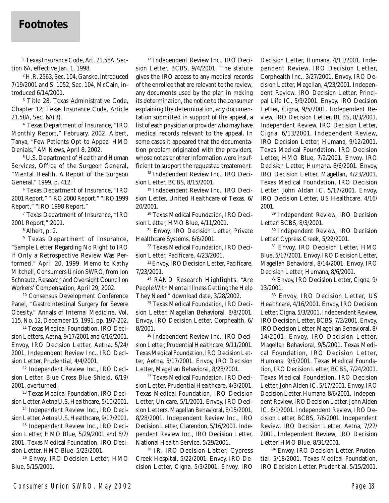# **Footnotes**

1 Texas Insurance Code, Art. 21.58A, Section 6A, effective Jan. 1, 1998.

2 H.R. 2563, Sec. 104, Ganske, introduced 7/19/2001 and S. 1052, Sec. 104, McCain, introduced 6/14/2001.

3 Title 28, Texas Administrative Code, Chapter 12; Texas Insurance Code, Article 21.58A, Sec. 6A(3).

4 Texas Department of Insurance, "IRO Monthly Report," February, 2002. Albert, Tanya, "Few Patients Opt to Appeal HMO Denials," AM News, April 8, 2002.

5 U.S. Department of Health and Human Services, Office of the Surgeon General, "Mental Health, A Report of the Surgeon General," 1999, p. 412.

6 Texas Department of Insurance, "IRO 2001 Report," "IRO 2000 Report," "IRO 1999 Report," "IRO 1998 Report."

7 Texas Department of Insurance, "IRO 2001 Report," 2001.

8 Albert, p. 2.

9 Texas Department of Insurance, "Sample Letter Regarding No Right to IRO if Only a Retrospective Review Was Performed," April 20, 1999. Memo to Kathy Mitchell, Consumers Union SWRO, from Jon Schnautz, Research and Oversight Council on Workers' Compensation, April 29, 2002.

10 Consensus Development Conference Panel, "Gastrointestinal Surgery for Severe Obesity," Annals of Internal Medicine, Vol. 115, No. 12, December 15, 1991, pp. 197-202.

<sup>11</sup> Texas Medical Foundation, IRO Decision Letters, Aetna, 9/17/2001 and 6/16/2001. Envoy, IRO Decision Letter, Aetna, 5/24/ 2001. Independent Review Inc., IRO Decision Letter, Prudential, 4/4/2001.

12 Independent Review Inc., IRO Decision Letter, Blue Cross Blue Shield, 6/19/ 2001, overturned.

13 Texas Medical Foundation, IRO Decision Letter, Aetna U.S. Healthcare, 5/10/2001.

14 Independent Review Inc., IRO Decision Letter, Aetna U.S. Healthcare, 9/17/2001.

<sup>15</sup> Independent Review Inc., IRO Decision Letter, HMO Blue, 5/29/2001 and 6/7/ 2001. Texas Medical Foundation, IRO Decision Letter, HMO Blue, 5/23/2001.

16 Envoy, IRO Decision Letter, HMO Blue, 5/15/2001.

17 Independent Review Inc., IRO Decision Letter, BCBS, 9/4/2001. The statute gives the IRO access to any medical records of the enrollee that are relevant to the review, any documents used by the plan in making its determination, the notice to the consumer explaining the determination, any documentation submitted in support of the appeal, a list of each physician or provider who may have medical records relevant to the appeal. In some cases it appeared that the documentation problem originated with the providers, whose notes or other information were insufficient to support the requested treatement.

18 Independent Review Inc., IRO Decision Letter, BCBS, 8/15/2001.

19 Independent Review Inc., IRO Decision Letter, United Healthcare of Texas, 6/ 20/2001.

20 Texas Medical Foundation, IRO Decision Letter, HMO Blue, 4/11/2001.

21 Envoy, IRO Decision Letter, Private Healthcare Systems, 6/6/2001.

22 Texas Medical Foundation, IRO Decision Letter, Pacificare, 4/23/2001.

23 Envoy, IRO Decision Letter, Pacificare, 7/23/2001.

24 RAND Research Highlights, "Are People With Mental Illness Getting the Help They Need," download date, 3/28/2002.

25 Texas Medical Foundation, IRO Decision Letter, Magellan Behavioral, 8/8/2001. Envoy, IRO Decision Letter, Corphealth, 6/ 8/2001.

26 Independent Review Inc., IRO Decision Letter, Prudential Healthcare, 9/11/2001. Texas Medical Foundation, IRO Decision Letter, Aetna, 5/17/2001. Envoy, IRO Decision Letter, Magellan Behavioral, 8/28/2001.

27 Texas Medical Foundation, IRO Decision Letter, Prudential Healthcare, 4/3/2001. Texas Medical Foundation, IRO Decision Letter, Unicare, 5/1/2001. Envoy, IRO Decision Letters, Magellan Behavioral, 8/15/2001, 8/28/2001. Independent Review Inc., IRO Decision Letter, Clarendon, 5/16/2001. Independent Review Inc., IRO Decision Letter, National Health Service, 5/29/2001.

28 IR, IRO Decision Letter, Cypress Creek Hospital, 5/22/2001. Envoy, IRO Decision Letter, Cigna, 5/3/2001. Envoy, IRO

Decision Letter, Humana, 4/11/2001. Independent Review, IRO Decision Letter, Corphealth Inc., 3/27/2001. Envoy, IRO Decision Letter, Magellan, 4/23/2001. Independent Review, IRO Decision Letter, Principal Life IC, 5/9/2001. Envoy, IRO Decision Letter, Cigna, 9/5/2001. Independent Review, IRO Decision Letter, BCBS, 8/3/2001. Independent Review, IRO Decision Letter, Cigna, 6/13/2001. Independent Review, IRO Decision Letter, Humana, 9/12/2001. Texas Medical Foundation, IRO Decision Letter, HMO Blue, 7/2/2001. Envoy, IRO Decision Letter, Humana, 8/6/2001. Envoy, IRO Decision Letter, Magellan, 4/23/2001. Texas Medical Foundation, IRO Decision Letter, John Aldan IC, 5/17/2001. Envoy, IRO Decision Letter, US Healthcare, 4/16/

2001.<br><sup>29</sup> Independent Review, IRO Decision Letter, BCBS, 8/3/2001.

30 Independent Review, IRO Decision Letter, Cypress Creek, 5/22/2001.

<sup>31</sup> Envoy, IRO Decision Letter, HMO Blue, 5/17/2001. Envoy, IRO Decision Letter, Magellan Behavioral, 8/14/2001. Envoy, IRO Decision Letter, Humana, 8/6/2001.

32 Envoy, IRO Decision Letter, Cigna, 9/ 13/2001.

33 Envoy, IRO Decision Letter, US Healthcare, 4/16/2001. Envoy, IRO Decision Letter, Cigna, 5/3/2001. Independent Review, IRO Decision Letter, BCBS, 7/2/2001. Envoy, IRO Decision Letter, Magellan Behavioral, 8/ 14/2001. Envoy, IRO Decision Letter, Magellan Behavioral, 9/5/2001. Texas Medical Foundation, IRO Decision Letter, Humana, 9/5/2001. Texas Medical Foundation, IRO Decision Letter, BCBS, 7/24/2001. Texas Medical Foundation, IRO Decision Letter, John Alden IC, 5/17/2001. Envoy, IRO Decision Letter, Humana, 8/6/2001. Independent Review, IRO Decision Letter, John Alden IC, 6/1/2001. Independent Review, IRO Decision Letter, BCBS, 7/6/2001. Independent Review, IRO Decision Letter, Aetna, 7/27/ 2001. Independent Review, IRO Decision Letter, HMO Blue, 8/31/2001.

<sup>34</sup> Envoy, IRO Decision Letter, Prudential, 5/18/2001. Texas Medical Foundation, IRO Decision Letter, Prudential, 5/15/2001.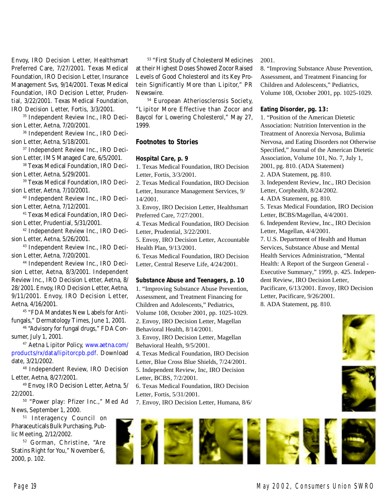Envoy, IRO Decision Letter, Healthsmart Preferred Care, 7/27/2001. Texas Medical Foundation, IRO Decision Letter, Insurance Management Svs, 9/14/2001. Texas Medical Foundation, IRO Decision Letter, Prudential, 3/22/2001. Texas Medical Foundation, IRO Decision Letter, Fortis, 3/3/2001.

35 Independent Review Inc., IRO Decision Letter, Aetna, 7/20/2001.

36 Independent Review Inc., IRO Decision Letter, Aetna, 5/18/2001.

37 Independent Review Inc., IRO Decision Letter, IMS Managed Care, 6/5/2001.

38 Texas Medical Foundation, IRO Decision Letter, Aetna, 5/29/2001.

39 Texas Medical Foundation, IRO Decision Letter, Aetna, 7/10/2001.

40 Independent Review Inc., IRO Decision Letter, Aetna, 7/12/2001.

41 Texas Medical Foundation, IRO Decision Letter, Prudential, 5/31/2001.

42 Independent Review Inc., IRO Decision Letter, Aetna, 5/26/2001.

43 Independent Review Inc., IRO Decision Letter, Aetna, 7/20/2001.

44 Independent Review Inc., IRO Decision Letter, Aetna, 8/3/2001. Independent Review Inc., IRO Decision Letter, Aetna, 8/ 28/ 2001. Envoy, IRO Decision Letter, Aetna, 9/11/2001. Envoy, IRO Decision Letter, Aetna, 4/16/2001.

45 "FDA Mandates New Labels for Antifungals," Dermatology Times, June 1, 2001.

46 "Advisory for fungal drugs," FDA Consumer, July 1, 2001.

47 Aetna Lipitor Policy, www.aetna.com/ products/rx/data/lipitorcpb.pdf. Download date, 3/21/2002.

48 Independent Review, IRO Decision Letter, Aetna, 8/27/2001.

49 Envoy, IRO Decision Letter, Aetna, 5/ 22/2001.

50 "Power play: Pfizer Inc.," Med Ad News, September 1, 2000.

<sup>51</sup> Interagency Council on Pharaceuticals Bulk Purchasing, Public Meeting, 2/12/2002.

52 Gorman, Christine, "Are Statins Right for You," November 6, 2000, p. 102.

53 "First Study of Cholesterol Medicines at their Highest Doses Showed Zocor Raised Levels of Good Cholesterol and its Key Protein Significantly More than Lipitor," PR Newswire.

54 European Atheriosclerosis Society, "Lipitor More Effective than Zocor and Baycol for Lowering Cholesterol," May 27, 1999.

## **Footnotes to Stories**

#### **Hospital Care, p. 9**

1. Texas Medical Foundation, IRO Decision Letter, Fortis, 3/3/2001.

2. Texas Medical Foundation, IRO Decision Letter, Insurance Management Services, 9/ 14/2001.

3. Envoy, IRO Decision Letter, Healthsmart Preferred Care, 7/27/2001.

4. Texas Medical Foundation, IRO Decision Letter, Prudential, 3/22/2001.

5. Envoy, IRO Decision Letter, Accountable Health Plan, 9/13/2001.

6. Texas Medical Foundation, IRO Decision Letter, Central Reserve Life, 4/24/2001.

#### **Substance Abuse and Teenagers, p. 10**

1. "Improving Substance Abuse Prevention, Assessment, and Treatment Financing for Children and Adolescents," Pediatrics,

Volume 108, October 2001, pp. 1025-1029.

2. Envoy, IRO Decision Letter, Magellan

Behavioral Health, 8/14/2001.

3. Envoy, IRO Decision Letter, Magellan Behavioral Health, 9/5/2001.

4. Texas Medical Foundation, IRO Decision Letter, Blue Cross Blue Shields, 7/24/2001.

5. Independent Review, Inc, IRO Decision Letter, BCBS, 7/2/2001.

6. Texas Medical Foundation, IRO Decision Letter, Fortis, 5/31/2001.

7. Envoy, IRO Decision Letter, Humana, 8/6/

#### 2001.

8. "Improving Substance Abuse Prevention, Assessment, and Treatment Financing for Children and Adolescents," Pediatrics, Volume 108, October 2001, pp. 1025-1029.

#### **Eating Disorder, pg. 13:**

1. "Position of the American Dietetic Association: Nutrition Intervention in the Treatment of Anorexia Nervosa, Bulimia Nervosa, and Eating Disorders not Otherwise Specified," Journal of the American Dietetic Association, Volume 101, No. 7, July 1, 2001, pg. 810. (ADA Statement) 2. ADA Statement, pg. 810. 3. Independent Review, Inc., IRO Decision Letter, Corphealth, 8/24/2002. 4. ADA Statement, pg. 810. 5. Texas Medical Foundation, IRO Decision Letter, BCBS/Magellan, 4/4/2001. 6. Independent Review, Inc., IRO Decision Letter, Magellan, 4/4/2001. 7. U.S. Department of Health and Human Services, Substance Abuse and Mental Health Services Administration, "Mental Health: A Report of the Surgeon General - Executive Summary," 1999, p. 425. Independent Review, IRO Decision Letter, Pacificare, 6/13/2001. Envoy, IRO Decision

Letter, Pacificare, 9/26/2001. 8. ADA Statement, pg. 810.